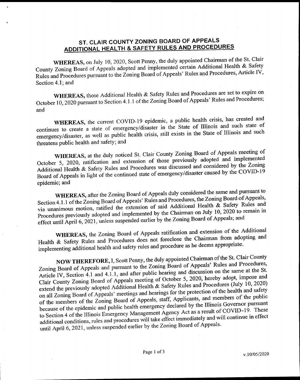## ST. CLAIR COUNTY ZONING BOARD OF APPEALS ADDITIONAL HEALTH & SAFETY RULES AND PROCEDURES

WHEREAS, on July 10, 2020, Scott Penny, the duly appointed Chairman of the St. Clair County Zoning Board of Appeals adopted and implemented certain Additional Health & Safety Rules and Procedures pursuant to the Zoning Board of Appeals' Rules and Procedures, Article IV, Section 4.1; and

WHEREAS, those Additional Health & Safety Rules and Procedures are set to expire on October 10, 2020 pursuant to Section 4.1.1 of the Zoning Board of Appeals' Rules and Procedures; and

WHEREAS, the current COVID-19 epidemic, a public health crisis, has created and continues to create a state of emergency/disaster in the State of Illinois and such state of emergency/disaster, as well as public health crisis, still exists in the State of Illinois and such threatens public health and safety; and

WHEREAS, at the duly noticed St. Clair County Zoning Board of Appeals meeting of October 5, 2020, ratification and extension of those previously adopted and implemented Additional Health & Safety Rules and Procedures was discussed and considered by the Zoning Board of Appeals in light of the continued state of emergency/disaster caused by the COVID-19 epidemic; and

WHEREAS, after the Zoning Board of Appeals duly considered the same and pursuant to Section 4.1.1 of the Zoning Board of Appeals' Rules and Procedures, the Zoning Board of Appeals, via unanimous motion, ratified the extension of said Additional Health  $\&$  Safety Rules and Procedures previously adopted and implemented by the Chairman on July 10, 2020 to remain in effect until April 6, 2021, unless suspended earlier by the Zoning Board of Appeals; and

WHEREAS, the Zoning Board of Appeals ratification and extension of the Additional Health & Safety Rules and Procedures does not foreclose the Chairman from adopting and implementing additional health and safety rules and procedure as he deems appropriate.

NOW THEREFORE, I, Scott Penny, the duly appointed Chairman of the St. Clair County<br>Zoning Board of Appeals and pursuant to the Zoning Board of Appeals' Rules and Procedures, Article IV, Section 4.1 and 4.1.1, and after public hearing and discussion on the same at the St.<br>Clair County Zoning Board of Appeals meeting of October 5, 2020, hereby adopt, impose and Clair County Zoning Board of Appeals meeting of October 5, 2020, hereby and  $\frac{1}{10}$ , 2020)  $\epsilon$ xtend the previously adopted Additional Health & Safety Rules and Procedures (July 10, 2020) extend the previously adopted Additional Frequence of the protection of the health and safety<br>on all Zoning Board of Appeals' meetings and hearings for the protection of the health and safety and members of the of the members of the Zoning Board of Appeals, staff, Applicants, because of the epidemic and public health emergency declared by the Illinois Governor pursuant to Section 4 of the Illinois Emergency Management Agency Act as a result of COVID-19. These additional conditions, rules and procedures will take effect immediately and will continue in effect until April 6, 2021, unless suspended earlier by the Zoning Board of Appeals.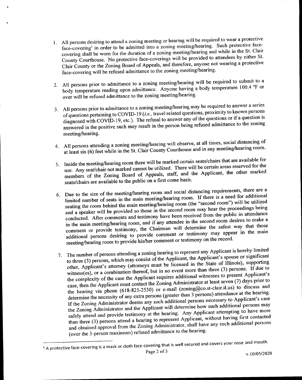- 1. All persons desiring to attend <sup>a</sup> zoning meeting or hearing will be required to wear <sup>a</sup> protective face-covering<sup>1</sup> in order to be admitted into a zoning meeting/hearing. Such protective face-<br>covering shall be worn for the duration of a zoning meeting/hearing and while in the St. Clair covering shall be worn for the duration of a zoning meeting/hearing and while in the St. County Courthouse. No protective face-coverings will be provided to attendees by either  $\epsilon$ . Clair County or the Zoning Board of Appeals, and therefore, anyone not wearing <sup>a</sup> protective face- covering will be refused admittance to the zoning meeting/hearing.
- 2. All persons prior to admittance to <sup>a</sup> zoning meeting/hearing will be required to submit to a body temperature reading upon admittance. Anyone having a body temperature 100.4 °F or over will be refused admittance to the zoning meeting/hearing.
- 3. All persons prior to admittance to <sup>a</sup> zoning meeting/hearing may be required to answer <sup>a</sup> series of questions pertaining to COVID-19 (*i.e.*, travel related questions, proximity to known persons diagnosed with COVID-19, etc.). The refusal to answer any of the questions or if a question is answered in the positive such may result in the person being refused admittance to the zoning meeting/hearing.
- 4. All persons attending <sup>a</sup> zoning meeting/hearing will observe, at all times, social distancing of at least six (6) feet while in the St. Clair County Courthouse and in any meeting/hearing room.
- 5. Inside the meeting/hearing room there will be marked certain seats/chairs that are available for use. Any seat/chair not marked cannot be utilized. There will be certain as easy of the next conditions will be displaced. members of the Zoning Board of Appeals, staff, and the Applicant, the other marked seats/chairs are available to the public on a first come basis.
- 6. Due to the size of the meeting/hearing room and social distancing requirements, there are <sup>a</sup> limited number of seats in the main meeting/hearing room. If there is <sup>a</sup> need for additional seating the room behind the main meeting/hearing room (the "second room") will be utilized and <sup>a</sup> speaker will be provided so those in the second room may hear the proceedings being conducted. After comments and testimony have been received from the public in attendance in the main meeting/hearing room, and if any attendee in the second room desires to make <sup>a</sup> comment or provide testimony, the Chairman will determine the safest way that those additional persons desiring to provide comment or testimony may appear in the main meeting/hearing room to provide his/her comment or testimony on the record.
- 7. The number of persons attending <sup>a</sup> zoning hearing to represent any Applicant is hereby limited to three (3) persons, which may consist of the Applicant, the Applicant's spouse or significant other, Applicant's attorney (attorneys must be licensed in the State of Illinois), supporting witness(es), or a combination thereof, but in no event more than three  $(3)$  persons. If due to the complexity of the case the Applicant requires additional witnesses to present Applicant's case, then the Applicant must contact the Zoning Administrator at least seven (7) days prior to the hearing via phone (618-825-2 case, then the Applicant must contact the Zoning Administrator at least seven (7) days prior to the hearing via phone ( $618-825-2330$ ) or e-mail (commission claim and the dealer at the hearing. determine the necessity of any extra persons (greater than 3 persons) attendance at the discrete If the Zoning Administrator deems any such additional persons necessary to Applicant's case<br>the Zoning Administrator and the Applicant will determine how such additional persons may the Zoning Administrator and the Applicant will determine how such a tempting to have more<br>safely attend and provide testimony at the hearing. Any Applicant attempting to have more than three  $(3)$  persons attend a hearing to represent Applicant, while the second solutional persons and obtained approval from the Zoning Administrator, sharing  $\alpha$  and persons and persons additional persons additional persons and persons are persons and persons and persons are persons and persons and persons are perso (over the 3-person maximum) refused admittance to the hearing.

<sup>&</sup>lt;sup>1</sup> A protective face-covering is a mask or cloth face-covering that is well secured and covers your nose and mouth.